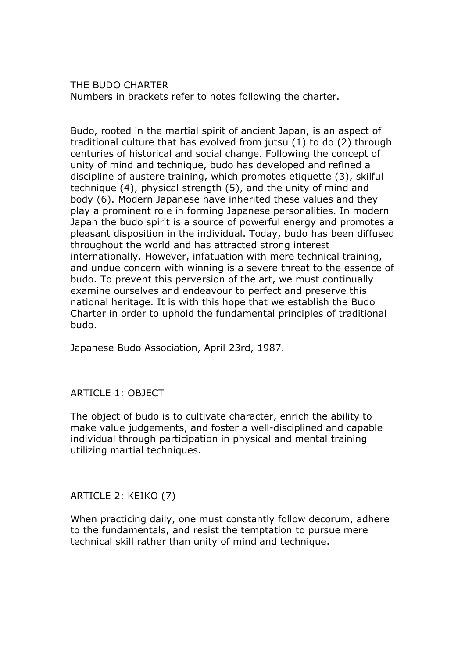THE BUDO CHARTER Numbers in brackets refer to notes following the charter.

Budo, rooted in the martial spirit of ancient Japan, is an aspect of traditional culture that has evolved from jutsu (1) to do (2) through centuries of historical and social change. Following the concept of unity of mind and technique, budo has developed and refined a discipline of austere training, which promotes etiquette (3), skilful technique (4), physical strength (5), and the unity of mind and body (6). Modern Japanese have inherited these values and they play a prominent role in forming Japanese personalities. In modern Japan the budo spirit is a source of powerful energy and promotes a pleasant disposition in the individual. Today, budo has been diffused throughout the world and has attracted strong interest internationally. However, infatuation with mere technical training, and undue concern with winning is a severe threat to the essence of budo. To prevent this perversion of the art, we must continually examine ourselves and endeavour to perfect and preserve this national heritage. It is with this hope that we establish the Budo Charter in order to uphold the fundamental principles of traditional budo.

Japanese Budo Association, April 23rd, 1987.

# ARTICLE 1: OBJECT

The object of budo is to cultivate character, enrich the ability to make value judgements, and foster a well-disciplined and capable individual through participation in physical and mental training utilizing martial techniques.

# ARTICLE 2: KEIKO (7)

When practicing daily, one must constantly follow decorum, adhere to the fundamentals, and resist the temptation to pursue mere technical skill rather than unity of mind and technique.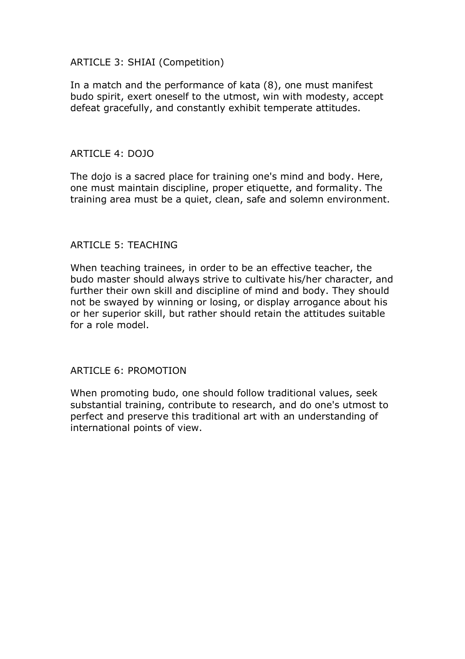# ARTICLE 3: SHIAI (Competition)

In a match and the performance of kata (8), one must manifest budo spirit, exert oneself to the utmost, win with modesty, accept defeat gracefully, and constantly exhibit temperate attitudes.

### ARTICLE 4: DOJO

The dojo is a sacred place for training one's mind and body. Here, one must maintain discipline, proper etiquette, and formality. The training area must be a quiet, clean, safe and solemn environment.

# ARTICLE 5: TEACHING

When teaching trainees, in order to be an effective teacher, the budo master should always strive to cultivate his/her character, and further their own skill and discipline of mind and body. They should not be swayed by winning or losing, or display arrogance about his or her superior skill, but rather should retain the attitudes suitable for a role model.

# ARTICLE 6: PROMOTION

When promoting budo, one should follow traditional values, seek substantial training, contribute to research, and do one's utmost to perfect and preserve this traditional art with an understanding of international points of view.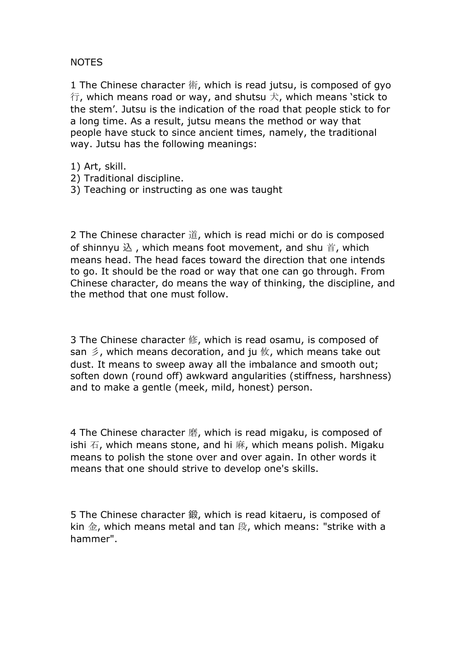# NOTES

1 The Chinese character 術, which is read jutsu, is composed of gyo  $\hat{\tau}$ , which means road or way, and shutsu  $\hat{\tau}$ , which means 'stick to the stem'. Jutsu is the indication of the road that people stick to for a long time. As a result, jutsu means the method or way that people have stuck to since ancient times, namely, the traditional way. Jutsu has the following meanings:

1) Art, skill.

- 2) Traditional discipline.
- 3) Teaching or instructing as one was taught

2 The Chinese character 道, which is read michi or do is composed of shinnyu  $\&\,$ , which means foot movement, and shu 首, which means head. The head faces toward the direction that one intends to go. It should be the road or way that one can go through. From Chinese character, do means the way of thinking, the discipline, and the method that one must follow.

3 The Chinese character 修, which is read osamu, is composed of san  $\leq$ , which means decoration, and ju  $\&$ , which means take out dust. It means to sweep away all the imbalance and smooth out; soften down (round off) awkward angularities (stiffness, harshness) and to make a gentle (meek, mild, honest) person.

4 The Chinese character 磨, which is read migaku, is composed of ishi  $\overline{a}$ , which means stone, and hi 麻, which means polish. Migaku means to polish the stone over and over again. In other words it means that one should strive to develop one's skills.

5 The Chinese character 鍛, which is read kitaeru, is composed of kin 金, which means metal and tan 段, which means: "strike with a hammer".